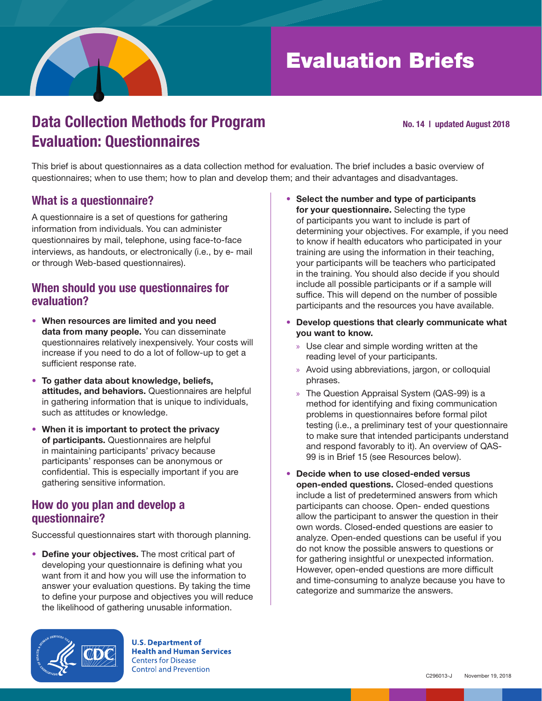

# Evaluation Briefs

## Data Collection Methods for Program Evaluation: Questionnaires

#### No. 14 | updated August 2018

This brief is about questionnaires as a data collection method for evaluation. The brief includes a basic overview of questionnaires; when to use them; how to plan and develop them; and their advantages and disadvantages.

### What is a questionnaire?

A questionnaire is a set of questions for gathering information from individuals. You can administer questionnaires by mail, telephone, using face-to-face interviews, as handouts, or electronically (i.e., by e- mail or through Web-based questionnaires).

#### When should you use questionnaires for evaluation?

- When resources are limited and you need data from many people. You can disseminate questionnaires relatively inexpensively. Your costs will increase if you need to do a lot of follow-up to get a sufficient response rate.
- To gather data about knowledge, beliefs, attitudes, and behaviors. Questionnaires are helpful in gathering information that is unique to individuals, such as attitudes or knowledge.
- When it is important to protect the privacy of participants. Questionnaires are helpful in maintaining participants' privacy because participants' responses can be anonymous or confidential. This is especially important if you are gathering sensitive information.

#### How do you plan and develop a questionnaire?

Successful questionnaires start with thorough planning.

• Define your objectives. The most critical part of developing your questionnaire is defining what you want from it and how you will use the information to answer your evaluation questions. By taking the time to define your purpose and objectives you will reduce the likelihood of gathering unusable information.



**U.S. Department of Health and Human Services Centers for Disease Control and Prevention** 

- Select the number and type of participants for your questionnaire. Selecting the type of participants you want to include is part of determining your objectives. For example, if you need to know if health educators who participated in your training are using the information in their teaching, your participants will be teachers who participated in the training. You should also decide if you should include all possible participants or if a sample will suffice. This will depend on the number of possible participants and the resources you have available.
- Develop questions that clearly communicate what you want to know.
	- » Use clear and simple wording written at the reading level of your participants.
	- » Avoid using abbreviations, jargon, or colloquial phrases.
	- » The Question Appraisal System (QAS-99) is a method for identifying and fixing communication problems in questionnaires before formal pilot testing (i.e., a preliminary test of your questionnaire to make sure that intended participants understand and respond favorably to it). An overview of QAS-99 is in Brief 15 (see Resources below).
- Decide when to use closed-ended versus open-ended questions. Closed-ended questions include a list of predetermined answers from which participants can choose. Open- ended questions allow the participant to answer the question in their own words. Closed-ended questions are easier to analyze. Open-ended questions can be useful if you do not know the possible answers to questions or for gathering insightful or unexpected information. However, open-ended questions are more difficult and time-consuming to analyze because you have to categorize and summarize the answers.